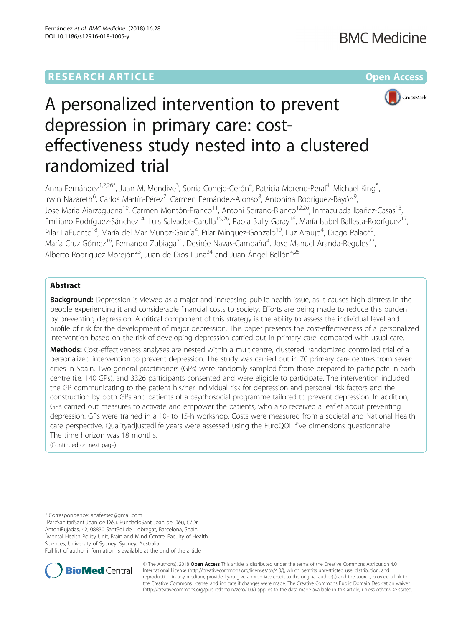

# A personalized intervention to prevent depression in primary care: costeffectiveness study nested into a clustered randomized trial

Anna Fernández<sup>1,2,26\*</sup>, Juan M. Mendive<sup>3</sup>, Sonia Conejo-Cerón<sup>4</sup>, Patricia Moreno-Peral<sup>4</sup>, Michael King<sup>5</sup> , Irwin Nazareth<sup>6</sup>, Carlos Martín-Pérez<sup>7</sup>, Carmen Fernández-Alonso<sup>8</sup>, Antonina Rodríguez-Bayón<sup>s</sup> , Jose Maria Aiarzaguena<sup>10</sup>, Carmen Montón-Franco<sup>11</sup>, Antoni Serrano-Blanco<sup>12,26</sup>, Inmaculada Ibañez-Casas<sup>13</sup>, Emiliano Rodríguez-Sánchez<sup>14</sup>, Luis Salvador-Carulla<sup>15,26</sup>, Paola Bully Garay<sup>16</sup>, María Isabel Ballesta-Rodríguez<sup>17</sup>, Pilar LaFuente<sup>18</sup>, María del Mar Muñoz-García<sup>4</sup>, Pilar Mínguez-Gonzalo<sup>19</sup>, Luz Araujo<sup>4</sup>, Diego Palao<sup>20</sup>, María Cruz Gómez<sup>16</sup>, Fernando Zubiaga<sup>21</sup>, Desirée Navas-Campaña<sup>4</sup>, Jose Manuel Aranda-Regules<sup>22</sup>, Alberto Rodriguez-Morejón<sup>23</sup>, Juan de Dios Luna<sup>24</sup> and Juan Ángel Bellón<sup>4,25</sup>

# Abstract

**Background:** Depression is viewed as a major and increasing public health issue, as it causes high distress in the people experiencing it and considerable financial costs to society. Efforts are being made to reduce this burden by preventing depression. A critical component of this strategy is the ability to assess the individual level and profile of risk for the development of major depression. This paper presents the cost-effectiveness of a personalized intervention based on the risk of developing depression carried out in primary care, compared with usual care.

Methods: Cost-effectiveness analyses are nested within a multicentre, clustered, randomized controlled trial of a personalized intervention to prevent depression. The study was carried out in 70 primary care centres from seven cities in Spain. Two general practitioners (GPs) were randomly sampled from those prepared to participate in each centre (i.e. 140 GPs), and 3326 participants consented and were eligible to participate. The intervention included the GP communicating to the patient his/her individual risk for depression and personal risk factors and the construction by both GPs and patients of a psychosocial programme tailored to prevent depression. In addition, GPs carried out measures to activate and empower the patients, who also received a leaflet about preventing depression. GPs were trained in a 10- to 15-h workshop. Costs were measured from a societal and National Health care perspective. Qualityadjustedlife years were assessed using the EuroQOL five dimensions questionnaire. The time horizon was 18 months.

(Continued on next page)

\* Correspondence: [anafezsez@gmail.com](mailto:anafezsez@gmail.com) <sup>1</sup>

<sup>1</sup>ParcSanitariSant Joan de Déu, FundacióSant Joan de Déu, C/Dr.

AntoniPujadas, 42, 08830 SantBoi de Llobregat, Barcelona, Spain <sup>2</sup> Mental Health Policy Unit, Brain and Mind Centre, Faculty of Health

Sciences, University of Sydney, Sydney, Australia

Full list of author information is available at the end of the article



© The Author(s). 2018 **Open Access** This article is distributed under the terms of the Creative Commons Attribution 4.0 International License [\(http://creativecommons.org/licenses/by/4.0/](http://creativecommons.org/licenses/by/4.0/)), which permits unrestricted use, distribution, and reproduction in any medium, provided you give appropriate credit to the original author(s) and the source, provide a link to the Creative Commons license, and indicate if changes were made. The Creative Commons Public Domain Dedication waiver [\(http://creativecommons.org/publicdomain/zero/1.0/](http://creativecommons.org/publicdomain/zero/1.0/)) applies to the data made available in this article, unless otherwise stated.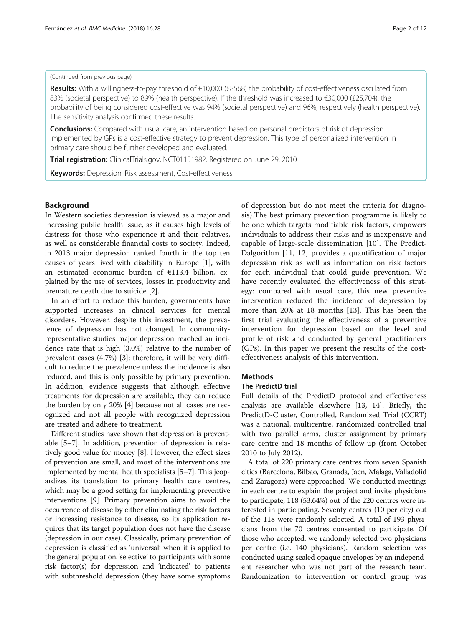#### (Continued from previous page)

Results: With a willingness-to-pay threshold of €10,000 (£8568) the probability of cost-effectiveness oscillated from 83% (societal perspective) to 89% (health perspective). If the threshold was increased to €30,000 (£25,704), the probability of being considered cost-effective was 94% (societal perspective) and 96%, respectively (health perspective). The sensitivity analysis confirmed these results.

**Conclusions:** Compared with usual care, an intervention based on personal predictors of risk of depression implemented by GPs is a cost-effective strategy to prevent depression. This type of personalized intervention in primary care should be further developed and evaluated.

Trial registration: ClinicalTrials.gov, NCT01151982. Registered on June 29, 2010

Keywords: Depression, Risk assessment, Cost-effectiveness

# Background

In Western societies depression is viewed as a major and increasing public health issue, as it causes high levels of distress for those who experience it and their relatives, as well as considerable financial costs to society. Indeed, in 2013 major depression ranked fourth in the top ten causes of years lived with disability in Europe [\[1](#page-11-0)], with an estimated economic burden of €113.4 billion, explained by the use of services, losses in productivity and premature death due to suicide [[2\]](#page-11-0).

In an effort to reduce this burden, governments have supported increases in clinical services for mental disorders. However, despite this investment, the prevalence of depression has not changed. In communityrepresentative studies major depression reached an incidence rate that is high (3.0%) relative to the number of prevalent cases (4.7%) [\[3\]](#page-11-0); therefore, it will be very difficult to reduce the prevalence unless the incidence is also reduced, and this is only possible by primary prevention. In addition, evidence suggests that although effective treatments for depression are available, they can reduce the burden by only 20% [\[4](#page-11-0)] because not all cases are recognized and not all people with recognized depression are treated and adhere to treatment.

Different studies have shown that depression is preventable [\[5](#page-11-0)–[7](#page-11-0)]. In addition, prevention of depression is relatively good value for money [[8\]](#page-11-0). However, the effect sizes of prevention are small, and most of the interventions are implemented by mental health specialists [[5](#page-11-0)–[7](#page-11-0)]. This jeopardizes its translation to primary health care centres, which may be a good setting for implementing preventive interventions [\[9\]](#page-11-0). Primary prevention aims to avoid the occurrence of disease by either eliminating the risk factors or increasing resistance to disease, so its application requires that its target population does not have the disease (depression in our case). Classically, primary prevention of depression is classified as 'universal' when it is applied to the general population,'selective' to participants with some risk factor(s) for depression and 'indicated' to patients with subthreshold depression (they have some symptoms

of depression but do not meet the criteria for diagnosis).The best primary prevention programme is likely to be one which targets modifiable risk factors, empowers individuals to address their risks and is inexpensive and capable of large-scale dissemination [\[10](#page-11-0)]. The Predict-Dalgorithm [[11, 12\]](#page-11-0) provides a quantification of major depression risk as well as information on risk factors for each individual that could guide prevention. We have recently evaluated the effectiveness of this strategy: compared with usual care, this new preventive intervention reduced the incidence of depression by more than 20% at 18 months [[13\]](#page-11-0). This has been the first trial evaluating the effectiveness of a preventive intervention for depression based on the level and profile of risk and conducted by general practitioners (GPs). In this paper we present the results of the costeffectiveness analysis of this intervention.

# Methods

#### The PredictD trial

Full details of the PredictD protocol and effectiveness analysis are available elsewhere [\[13](#page-11-0), [14](#page-11-0)]. Briefly, the PredictD-Cluster, Controlled, Randomized Trial (CCRT) was a national, multicentre, randomized controlled trial with two parallel arms, cluster assignment by primary care centre and 18 months of follow-up (from October 2010 to July 2012).

A total of 220 primary care centres from seven Spanish cities (Barcelona, Bilbao, Granada, Jaen, Málaga, Valladolid and Zaragoza) were approached. We conducted meetings in each centre to explain the project and invite physicians to participate; 118 (53.64%) out of the 220 centres were interested in participating. Seventy centres (10 per city) out of the 118 were randomly selected. A total of 193 physicians from the 70 centres consented to participate. Of those who accepted, we randomly selected two physicians per centre (i.e. 140 physicians). Random selection was conducted using sealed opaque envelopes by an independent researcher who was not part of the research team. Randomization to intervention or control group was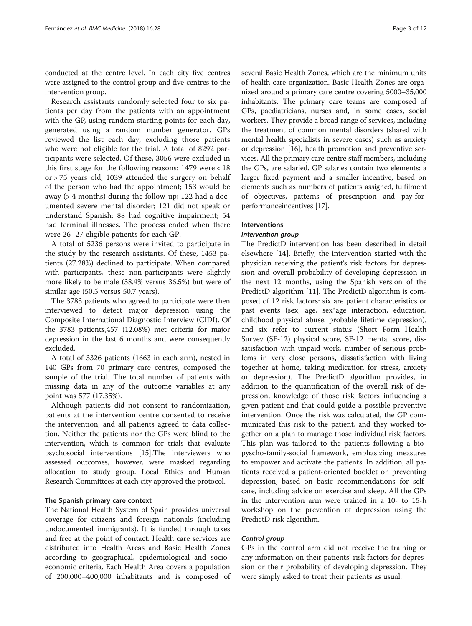conducted at the centre level. In each city five centres were assigned to the control group and five centres to the intervention group.

Research assistants randomly selected four to six patients per day from the patients with an appointment with the GP, using random starting points for each day, generated using a random number generator. GPs reviewed the list each day, excluding those patients who were not eligible for the trial. A total of 8292 participants were selected. Of these, 3056 were excluded in this first stage for the following reasons: 1479 were < 18 or > 75 years old; 1039 attended the surgery on behalf of the person who had the appointment; 153 would be away (> 4 months) during the follow-up; 122 had a documented severe mental disorder; 121 did not speak or understand Spanish; 88 had cognitive impairment; 54 had terminal illnesses. The process ended when there were 26–27 eligible patients for each GP.

A total of 5236 persons were invited to participate in the study by the research assistants. Of these, 1453 patients (27.28%) declined to participate. When compared with participants, these non-participants were slightly more likely to be male (38.4% versus 36.5%) but were of similar age (50.5 versus 50.7 years).

The 3783 patients who agreed to participate were then interviewed to detect major depression using the Composite International Diagnostic Interview (CIDI). Of the 3783 patients,457 (12.08%) met criteria for major depression in the last 6 months and were consequently excluded.

A total of 3326 patients (1663 in each arm), nested in 140 GPs from 70 primary care centres, composed the sample of the trial. The total number of patients with missing data in any of the outcome variables at any point was 577 (17.35%).

Although patients did not consent to randomization, patients at the intervention centre consented to receive the intervention, and all patients agreed to data collection. Neither the patients nor the GPs were blind to the intervention, which is common for trials that evaluate psychosocial interventions [\[15\]](#page-11-0).The interviewers who assessed outcomes, however, were masked regarding allocation to study group. Local Ethics and Human Research Committees at each city approved the protocol.

### The Spanish primary care context

The National Health System of Spain provides universal coverage for citizens and foreign nationals (including undocumented immigrants). It is funded through taxes and free at the point of contact. Health care services are distributed into Health Areas and Basic Health Zones according to geographical, epidemiological and socioeconomic criteria. Each Health Area covers a population of 200,000–400,000 inhabitants and is composed of

several Basic Health Zones, which are the minimum units of health care organization. Basic Health Zones are organized around a primary care centre covering 5000–35,000 inhabitants. The primary care teams are composed of GPs, paediatricians, nurses and, in some cases, social workers. They provide a broad range of services, including the treatment of common mental disorders (shared with mental health specialists in severe cases) such as anxiety or depression [[16](#page-11-0)], health promotion and preventive services. All the primary care centre staff members, including the GPs, are salaried. GP salaries contain two elements: a larger fixed payment and a smaller incentive, based on elements such as numbers of patients assigned, fulfilment of objectives, patterns of prescription and pay-forperformanceincentives [[17\]](#page-11-0).

### Interventions

The PredictD intervention has been described in detail elsewhere [\[14](#page-11-0)]. Briefly, the intervention started with the physician receiving the patient's risk factors for depression and overall probability of developing depression in the next 12 months, using the Spanish version of the PredictD algorithm [\[11](#page-11-0)]. The PredictD algorithm is composed of 12 risk factors: six are patient characteristics or past events (sex, age, sex\*age interaction, education, childhood physical abuse, probable lifetime depression), and six refer to current status (Short Form Health Survey (SF-12) physical score, SF-12 mental score, dissatisfaction with unpaid work, number of serious problems in very close persons, dissatisfaction with living together at home, taking medication for stress, anxiety or depression). The PredictD algorithm provides, in addition to the quantification of the overall risk of depression, knowledge of those risk factors influencing a given patient and that could guide a possible preventive intervention. Once the risk was calculated, the GP communicated this risk to the patient, and they worked together on a plan to manage those individual risk factors. This plan was tailored to the patients following a biopyscho-family-social framework, emphasizing measures to empower and activate the patients. In addition, all patients received a patient-oriented booklet on preventing depression, based on basic recommendations for selfcare, including advice on exercise and sleep. All the GPs in the intervention arm were trained in a 10- to 15-h workshop on the prevention of depression using the PredictD risk algorithm.

GPs in the control arm did not receive the training or any information on their patients' risk factors for depression or their probability of developing depression. They were simply asked to treat their patients as usual.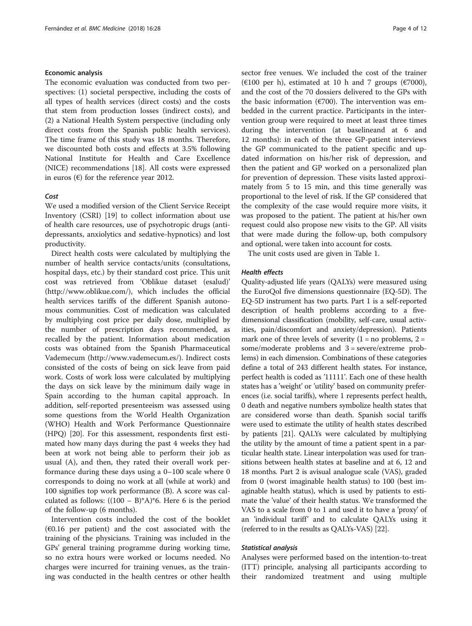#### Economic analysis

The economic evaluation was conducted from two perspectives: (1) societal perspective, including the costs of all types of health services (direct costs) and the costs that stem from production losses (indirect costs), and (2) a National Health System perspective (including only direct costs from the Spanish public health services). The time frame of this study was 18 months. Therefore, we discounted both costs and effects at 3.5% following National Institute for Health and Care Excellence (NICE) recommendations [[18\]](#page-11-0). All costs were expressed in euros ( $\epsilon$ ) for the reference year 2012.

### Cost

We used a modified version of the Client Service Receipt Inventory (CSRI) [\[19](#page-11-0)] to collect information about use of health care resources, use of psychotropic drugs (antidepressants, anxiolytics and sedative-hypnotics) and lost productivity.

Direct health costs were calculated by multiplying the number of health service contacts/units (consultations, hospital days, etc.) by their standard cost price. This unit cost was retrieved from 'Oblikue dataset (esalud)' (<http://www.oblikue.com/>), which includes the official health services tariffs of the different Spanish autonomous communities. Cost of medication was calculated by multiplying cost price per daily dose, multiplied by the number of prescription days recommended, as recalled by the patient. Information about medication costs was obtained from the Spanish Pharmaceutical Vademecum ([http://www.vademecum.es/\)](http://www.vademecum.es/). Indirect costs consisted of the costs of being on sick leave from paid work. Costs of work loss were calculated by multiplying the days on sick leave by the minimum daily wage in Spain according to the human capital approach. In addition, self-reported presenteeism was assessed using some questions from the World Health Organization (WHO) Health and Work Performance Questionnaire (HPQ) [\[20\]](#page-11-0). For this assessment, respondents first estimated how many days during the past 4 weeks they had been at work not being able to perform their job as usual (A), and then, they rated their overall work performance during these days using a 0–100 scale where 0 corresponds to doing no work at all (while at work) and 100 signifies top work performance (B). A score was calculated as follows:  $((100 – B)*A)*6$ . Here 6 is the period of the follow-up (6 months).

Intervention costs included the cost of the booklet  $(60.16$  per patient) and the cost associated with the training of the physicians. Training was included in the GPs' general training programme during working time, so no extra hours were worked or locums needed. No charges were incurred for training venues, as the training was conducted in the health centres or other health sector free venues. We included the cost of the trainer (€100 per h), estimated at 10 h and 7 groups (€7000), and the cost of the 70 dossiers delivered to the GPs with the basic information ( $\epsilon$ 700). The intervention was embedded in the current practice. Participants in the intervention group were required to meet at least three times during the intervention (at baselineand at 6 and 12 months): in each of the three GP-patient interviews the GP communicated to the patient specific and updated information on his/her risk of depression, and then the patient and GP worked on a personalized plan for prevention of depression. These visits lasted approximately from 5 to 15 min, and this time generally was proportional to the level of risk. If the GP considered that the complexity of the case would require more visits, it was proposed to the patient. The patient at his/her own request could also propose new visits to the GP. All visits that were made during the follow-up, both compulsory and optional, were taken into account for costs.

The unit costs used are given in Table [1.](#page-4-0)

## **Health effects**

Quality-adjusted life years (QALYs) were measured using the EuroQol five dimensions questionnaire (EQ-5D). The EQ-5D instrument has two parts. Part 1 is a self-reported description of health problems according to a fivedimensional classification (mobility, self-care, usual activities, pain/discomfort and anxiety/depression). Patients mark one of three levels of severity  $(1 = no$  problems,  $2 =$ some/moderate problems and 3 = severe/extreme problems) in each dimension. Combinations of these categories define a total of 243 different health states. For instance, perfect health is coded as '11111'. Each one of these health states has a 'weight' or 'utility' based on community preferences (i.e. social tariffs), where 1 represents perfect health, 0 death and negative numbers symbolize health states that are considered worse than death. Spanish social tariffs were used to estimate the utility of health states described by patients [\[21\]](#page-11-0). QALYs were calculated by multiplying the utility by the amount of time a patient spent in a particular health state. Linear interpolation was used for transitions between health states at baseline and at 6, 12 and 18 months. Part 2 is avisual analogue scale (VAS), graded from 0 (worst imaginable health status) to 100 (best imaginable health status), which is used by patients to estimate the 'value' of their health status. We transformed the VAS to a scale from 0 to 1 and used it to have a 'proxy' of an 'individual tariff' and to calculate QALYs using it (referred to in the results as QALYs-VAS) [\[22\]](#page-11-0).

Analyses were performed based on the intention-to-treat (ITT) principle, analysing all participants according to their randomized treatment and using multiple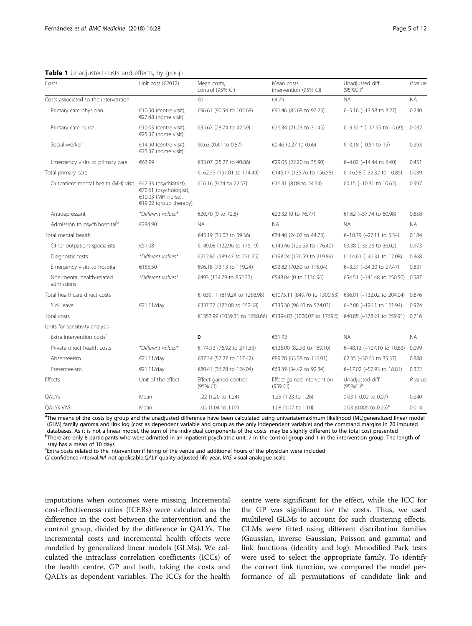### <span id="page-4-0"></span>Table 1 Unadjusted costs and effects, by group

| Costs                                    | Unit cost $(62012)$                                                                              | Mean costs,<br>control (95% CI)   | Mean costs,<br>intervention (95% CI)              | Unadjusted diff<br>$(95\%$ CI) <sup>a</sup> | $P$ value |
|------------------------------------------|--------------------------------------------------------------------------------------------------|-----------------------------------|---------------------------------------------------|---------------------------------------------|-----------|
| Costs associated to the intervention     |                                                                                                  | $\epsilon$ <sup>0</sup>           | €4.79                                             | <b>NA</b>                                   | <b>NA</b> |
| Primary care physician                   | €10.50 (centre visit),<br>€27.48 (home visit)                                                    | €96.61 (90.54 to 102.68)          | €91.46 (85.68 to 97.23)                           | €-5.16 (-13.58 to 3.27)                     | 0.230     |
| Primary care nurse                       | €10.03 (centre visit),<br>€25.37 (home visit)                                                    | €35.67 (28.74 to 42.59)           | €26.34 (21.23 to 31.45)                           | €-9.32 * (-17.95 to -0.69)                  | 0.032     |
| Social worker                            | €14.90 (centre visit),<br>€25.37 (home visit)                                                    | €0.63 (0.41 to 0.87)              | €0.46 (0.27 to 0.66)                              | €-0.18 (-0.51 to 15)                        | 0.293     |
| Emergency visits to primary care         | €63.99                                                                                           | €33.07 (25.27 to 40.86)           | €29.05 (22.20 to 35.90)                           | €-4.02 (-14.44 to 6.40)                     | 0.451     |
| Total primary care                       |                                                                                                  | €162.75 (151.01 to 174.49)        | €146.17 (135.76 to 156.58)                        | €-16.58 (-32.32 to -0.85)                   | 0.039     |
| Outpatient mental health (MH) visit      | €42.93 (psychiatrist),<br>€70.61 (psychologist),<br>€10.03 (MH nurse),<br>€19.22 (group therapy) | €16.16 (9.74 to 22.57)            | €16.31 (8.08 to 24.54)<br>€0.15 (-10.31 to 10.62) |                                             | 0.997     |
| Antidepressant                           | *Different values*                                                                               | €20.70 (0 to 72.8)                | €22.32 (0 to 76.77)                               | €1.62 (-57.74 to 60.98)                     | 0.658     |
| Admission to psych.hospital <sup>b</sup> | €284.90                                                                                          | <b>NA</b>                         | <b>NA</b>                                         | <b>NA</b>                                   | <b>NA</b> |
| Total mental health                      |                                                                                                  | €45.19 (31.02 to 59.36)           | €34.40 (24.07 to 44.73)                           | €-10.79 (-27.11 to 5.54)                    | 0.184     |
| Other outpatient specialists             | €51.08                                                                                           | €149.08 (122.96 to 175.19)        | €149.46 (122.53 to 176.40)                        | €0.38 (-35.26 to 36.02)                     | 0.973     |
| Diagnostic tests                         | *Different values*                                                                               | €212.86 (189.47 to 236.25)        | €198.24 (176.59 to 219.89)                        | €-14.61 (-46.31 to 17.08)                   | 0.368     |
| Emergency visits to hospital             | €155.50                                                                                          | €96.18 (73.13 to 119.24)          | €92.82 (70.60 to 115.04)                          | €-3.37 (-34.20 to 27.47)                    | 0.831     |
| Non-mental health-related<br>admissions  | *Different values*                                                                               | €493 (134.79 to 852.27)           | €548.04 (0 to 1136.96)                            | €54.51 (-141.48 to 250.50) 0.587            |           |
| Total healthcare direct costs            |                                                                                                  | €1039.11 (819.24 to 1258.98)      | €1075.11 (849.70 to 1300.53)                      | €36.01 (-132.02 to 204.04)                  | 0.676     |
| Sick leave                               | €21.11/day                                                                                       | €337.37 (122.08 to 552.68)        | €335.30 (96.60 to 574.03)                         | €-2.08 (-126.1 to 121.94)                   | 0.974     |
| Total costs                              |                                                                                                  | €1353.99 (1039.31 to 1668.66)     | €1394.83 (1020.07 to 1769.6)                      | €40.85 (-178.21 to 259.91) 0.716            |           |
| Units for sensitivity analysis           |                                                                                                  |                                   |                                                   |                                             |           |
| Extra intervention costs <sup>c</sup>    |                                                                                                  | $\mathbf 0$                       | €31.72                                            | <b>NA</b>                                   | <b>NA</b> |
| Private direct health costs              | *Different values*                                                                               | €174.13 (76.92 to 271.33)         | €126.00 (82.90 to 169.10)                         | €–48.13 (–107.10 to 10.83)                  | 0.099     |
| Absenteeism                              | €21.11/day                                                                                       | €87.34 (57.27 to 117.42)          | €89.70 (63.38 to 116.01)                          | €2.35 (-30.66 to 35.37)                     | 0.888     |
| Presenteeism                             | €21.11/day                                                                                       | €80.41 (36.78 to 124.04)          | €63.39 (34.42 to 92.34)                           | €-17.02 (-52.93 to 18.81)                   | 0.322     |
| Effects                                  | Unit of the effect                                                                               | Effect gained control<br>(95% CI) | Effect gained intervention<br>$(95\%CI)$          | Unadjusted diff<br>$(95\%CI)^{a}$           | $P$ value |
| OALYs                                    | Mean                                                                                             | 1.22 (1.20 to 1.24)               | 1.25 (1.23 to 1.26)                               | $0.03$ (-0.02 to 0.07)                      | 0.240     |
| QALYs-VAS                                | Mean                                                                                             | 1.05 (1.04 to 1.07)               | 1.08 (1.07 to 1.10)                               | $0.03$ (0.006 to 0.05)*                     | 0.014     |

<sup>a</sup>The means of the costs by group and the unadjusted difference have been calculated using univariatemaximum likelihood (ML)generalized linear model (GLM) family gamma and link log (cost as dependent variable and group as the only independent variable) and the command margins in 20 imputed databases. As it is not a linear model, the sum of the individual components of the costs may be slightly different to the total cost presented

b<br>There are only 8 participants who were admitted in an inpatient psychiatric unit, 7 in the control group and 1 in the intervention group. The length of stay has a mean of 10 days

c Extra costs related to the intervention if hiring of the venue and additional hours of the physician were included

CI confidence interval,NA not applicable,QALY quality-adjusted life year, VAS visual analogue scale

imputations when outcomes were missing. Incremental cost-effectiveness ratios (ICERs) were calculated as the difference in the cost between the intervention and the control group, divided by the difference in QALYs. The incremental costs and incremental health effects were modelled by generalized linear models (GLMs). We calculated the intraclass correlation coefficients (ICCs) of the health centre, GP and both, taking the costs and QALYs as dependent variables. The ICCs for the health

centre were significant for the effect, while the ICC for the GP was significant for the costs. Thus, we used multilevel GLMs to account for such clustering effects. GLMs were fitted using different distribution families (Gaussian, inverse Gaussian, Poisson and gamma) and link functions (identity and log). Mmodified Park tests were used to select the appropriate family. To identify the correct link function, we compared the model performance of all permutations of candidate link and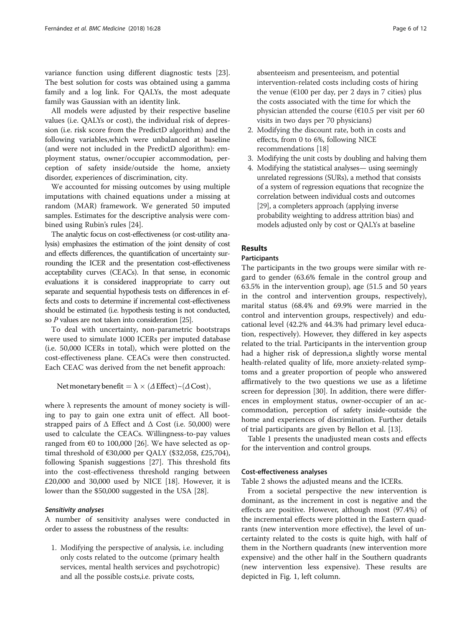variance function using different diagnostic tests [\[23](#page-11-0)]. The best solution for costs was obtained using a gamma family and a log link. For QALYs, the most adequate family was Gaussian with an identity link.

All models were adjusted by their respective baseline values (i.e. QALYs or cost), the individual risk of depression (i.e. risk score from the PredictD algorithm) and the following variables,which were unbalanced at baseline (and were not included in the PredictD algorithm): employment status, owner/occupier accommodation, perception of safety inside/outside the home, anxiety disorder, experiences of discrimination, city.

We accounted for missing outcomes by using multiple imputations with chained equations under a missing at random (MAR) framework. We generated 50 imputed samples. Estimates for the descriptive analysis were combined using Rubin's rules [\[24](#page-11-0)].

The analytic focus on cost-effectiveness (or cost-utility analysis) emphasizes the estimation of the joint density of cost and effects differences, the quantification of uncertainty surrounding the ICER and the presentation cost-effectiveness acceptability curves (CEACs). In that sense, in economic evaluations it is considered inappropriate to carry out separate and sequential hypothesis tests on differences in effects and costs to determine if incremental cost-effectiveness should be estimated (i.e. hypothesis testing is not conducted, so P values are not taken into consideration [[25\]](#page-11-0).

To deal with uncertainty, non-parametric bootstraps were used to simulate 1000 ICERs per imputed database (i.e. 50,000 ICERs in total), which were plotted on the cost-effectiveness plane. CEACs were then constructed. Each CEAC was derived from the net benefit approach:

Net monetary benefit =  $\lambda \times (\Delta \text{ Effect}) - (\Delta \text{Cost}),$ 

where  $\lambda$  represents the amount of money society is willing to pay to gain one extra unit of effect. All bootstrapped pairs of  $\Delta$  Effect and  $\Delta$  Cost (i.e. 50,000) were used to calculate the CEACs. Willingness-to-pay values ranged from  $\epsilon$ 0 to 100,000 [[26](#page-11-0)]. We have selected as optimal threshold of €30,000 per QALY (\$32,058, £25,704), following Spanish suggestions [\[27\]](#page-11-0). This threshold fits into the cost-effectiveness threshold ranging between  $£20,000$  and 30,000 used by NICE [[18](#page-11-0)]. However, it is lower than the \$50,000 suggested in the USA [\[28](#page-11-0)].

A number of sensitivity analyses were conducted in order to assess the robustness of the results:

1. Modifying the perspective of analysis, i.e. including only costs related to the outcome (primary health services, mental health services and psychotropic) and all the possible costs,i.e. private costs,

absenteeism and presenteeism, and potential intervention-related costs including costs of hiring the venue ( $\epsilon$ 100 per day, per 2 days in 7 cities) plus the costs associated with the time for which the physician attended the course ( $€10.5$  per visit per 60 visits in two days per 70 physicians)

- 2. Modifying the discount rate, both in costs and effects, from 0 to 6%, following NICE recommendations [[18](#page-11-0)]
- 3. Modifying the unit costs by doubling and halving them
- 4. Modifying the statistical analyses— using seemingly unrelated regressions (SURs), a method that consists of a system of regression equations that recognize the correlation between individual costs and outcomes [\[29\]](#page-11-0), a completers approach (applying inverse probability weighting to address attrition bias) and models adjusted only by cost or QALYs at baseline

# Results

#### **Participants**

The participants in the two groups were similar with regard to gender (63.6% female in the control group and 63.5% in the intervention group), age (51.5 and 50 years in the control and intervention groups, respectively), marital status (68.4% and 69.9% were married in the control and intervention groups, respectively) and educational level (42.2% and 44.3% had primary level education, respectively). However, they differed in key aspects related to the trial. Participants in the intervention group had a higher risk of depression,a slightly worse mental health-related quality of life, more anxiety-related symptoms and a greater proportion of people who answered affirmatively to the two questions we use as a lifetime screen for depression [\[30](#page-11-0)]. In addition, there were differences in employment status, owner-occupier of an accommodation, perception of safety inside-outside the home and experiences of discrimination. Further details of trial participants are given by Bellon et al. [[13\]](#page-11-0).

Table [1](#page-4-0) presents the unadjusted mean costs and effects for the intervention and control groups.

### Cost-effectiveness analyses

Table [2](#page-6-0) shows the adjusted means and the ICERs.

From a societal perspective the new intervention is dominant, as the increment in cost is negative and the effects are positive. However, although most (97.4%) of the incremental effects were plotted in the Eastern quadrants (new intervention more effective), the level of uncertainty related to the costs is quite high, with half of them in the Northern quadrants (new intervention more expensive) and the other half in the Southern quadrants (new intervention less expensive). These results are depicted in Fig. [1,](#page-7-0) left column.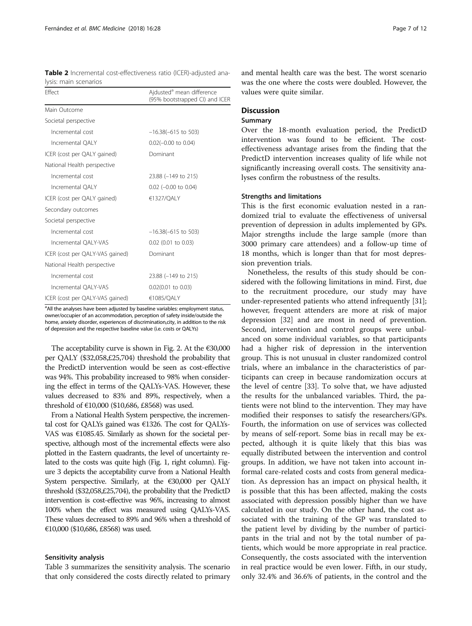<span id="page-6-0"></span>Table 2 Incremental cost-effectiveness ratio (ICER)-adjusted analysis: main scenarios

| <b>Fffect</b>                   | Ajdusted <sup>a</sup> mean difference<br>(95% bootstrapped CI) and ICER |  |  |  |
|---------------------------------|-------------------------------------------------------------------------|--|--|--|
| Main Outcome                    |                                                                         |  |  |  |
| Societal perspective            |                                                                         |  |  |  |
| Incremental cost                | $-16.38(-615$ to 503)                                                   |  |  |  |
| Incremental QALY                | $0.02(-0.00)$ to 0.04)                                                  |  |  |  |
| ICER (cost per QALY gained)     | Dominant                                                                |  |  |  |
| National Health perspective     |                                                                         |  |  |  |
| Incremental cost                | 23.88 (-149 to 215)                                                     |  |  |  |
| Incremental QALY                | $0.02$ (-0.00 to 0.04)                                                  |  |  |  |
| ICER (cost per QALY gained)     | €1327/QALY                                                              |  |  |  |
| Secondary outcomes              |                                                                         |  |  |  |
| Societal perspective            |                                                                         |  |  |  |
| Incremental cost                | $-16.38(-615$ to 503)                                                   |  |  |  |
| Incremental OALY-VAS            | 0.02 (0.01 to 0.03)                                                     |  |  |  |
| ICER (cost per QALY-VAS gained) | Dominant                                                                |  |  |  |
| National Health perspective     |                                                                         |  |  |  |
| Incremental cost                | 23.88 (-149 to 215)                                                     |  |  |  |
| Incremental OALY-VAS            | 0.02(0.01 to 0.03)                                                      |  |  |  |
| ICER (cost per QALY-VAS gained) | €1085/OALY                                                              |  |  |  |

<sup>a</sup>All the analyses have been adjusted by baseline variables: employment status, owner/occupier of an accommodation, perception of safety inside/outside the home, anxiety disorder, experiences of discrimination,city, in addition to the risk of depression and the respective baseline value (i.e. costs or QALYs)

The acceptability curve is shown in Fig. [2.](#page-7-0) At the  $€30,000$ per QALY (\$32,058,£25,704) threshold the probability that the PredictD intervention would be seen as cost-effective was 94%. This probability increased to 98% when considering the effect in terms of the QALYs-VAS. However, these values decreased to 83% and 89%, respectively, when a threshold of €10,000 (\$10,686, £8568) was used.

From a National Health System perspective, the incremental cost for QALYs gained was €1326. The cost for QALYs-VAS was  $\epsilon$ 1085.45. Similarly as shown for the societal perspective, although most of the incremental effects were also plotted in the Eastern quadrants, the level of uncertainty related to the costs was quite high (Fig. [1,](#page-7-0) right column). Figure [3](#page-8-0) depicts the acceptability curve from a National Health System perspective. Similarly, at the  $\epsilon$ 30,000 per QALY threshold (\$32,058,£25,704), the probability that the PredictD intervention is cost-effective was 96%, increasing to almost 100% when the effect was measured using QALYs-VAS. These values decreased to 89% and 96% when a threshold of €10,000 (\$10,686, £8568) was used.

#### Sensitivity analysis

Table [3](#page-9-0) summarizes the sensitivity analysis. The scenario that only considered the costs directly related to primary

and mental health care was the best. The worst scenario was the one where the costs were doubled. However, the values were quite similar.

# **Discussion**

#### Summary

Over the 18-month evaluation period, the PredictD intervention was found to be efficient. The costeffectiveness advantage arises from the finding that the PredictD intervention increases quality of life while not significantly increasing overall costs. The sensitivity analyses confirm the robustness of the results.

#### Strengths and limitations

This is the first economic evaluation nested in a randomized trial to evaluate the effectiveness of universal prevention of depression in adults implemented by GPs. Major strengths include the large sample (more than 3000 primary care attendees) and a follow-up time of 18 months, which is longer than that for most depression prevention trials.

Nonetheless, the results of this study should be considered with the following limitations in mind. First, due to the recruitment procedure, our study may have under-represented patients who attend infrequently [\[31](#page-11-0)]; however, frequent attenders are more at risk of major depression [\[32\]](#page-11-0) and are most in need of prevention. Second, intervention and control groups were unbalanced on some individual variables, so that participants had a higher risk of depression in the intervention group. This is not unusual in cluster randomized control trials, where an imbalance in the characteristics of participants can creep in because randomization occurs at the level of centre [\[33](#page-11-0)]. To solve that, we have adjusted the results for the unbalanced variables. Third, the patients were not blind to the intervention. They may have modified their responses to satisfy the researchers/GPs. Fourth, the information on use of services was collected by means of self-report. Some bias in recall may be expected, although it is quite likely that this bias was equally distributed between the intervention and control groups. In addition, we have not taken into account informal care-related costs and costs from general medication. As depression has an impact on physical health, it is possible that this has been affected, making the costs associated with depression possibly higher than we have calculated in our study. On the other hand, the cost associated with the training of the GP was translated to the patient level by dividing by the number of participants in the trial and not by the total number of patients, which would be more appropriate in real practice. Consequently, the costs associated with the intervention in real practice would be even lower. Fifth, in our study, only 32.4% and 36.6% of patients, in the control and the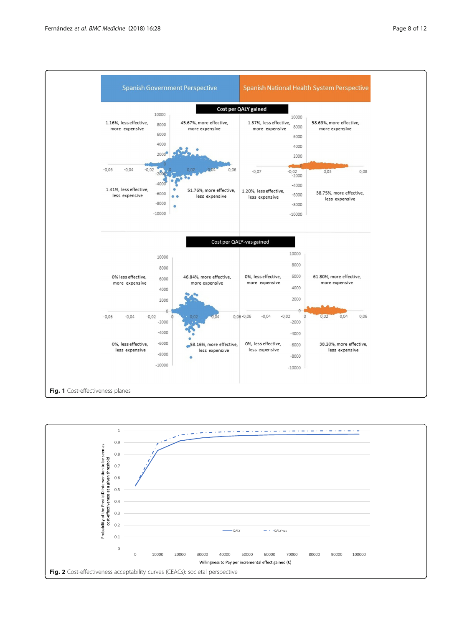<span id="page-7-0"></span>

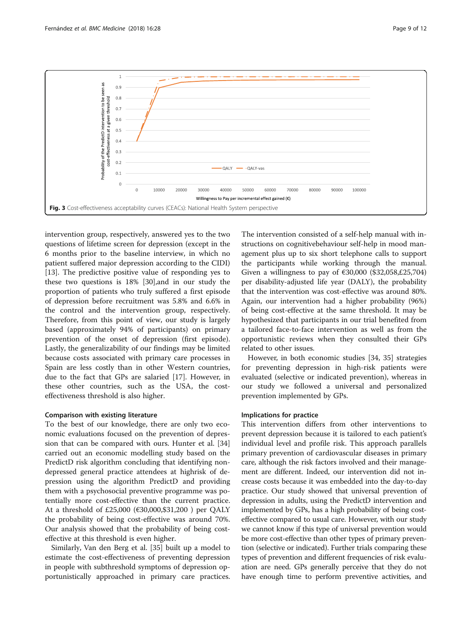<span id="page-8-0"></span>

intervention group, respectively, answered yes to the two questions of lifetime screen for depression (except in the 6 months prior to the baseline interview, in which no patient suffered major depression according to the CIDI) [[13\]](#page-11-0). The predictive positive value of responding yes to these two questions is 18% [\[30](#page-11-0)],and in our study the proportion of patients who truly suffered a first episode of depression before recruitment was 5.8% and 6.6% in the control and the intervention group, respectively. Therefore, from this point of view, our study is largely based (approximately 94% of participants) on primary prevention of the onset of depression (first episode). Lastly, the generalizability of our findings may be limited because costs associated with primary care processes in Spain are less costly than in other Western countries, due to the fact that GPs are salaried [[17\]](#page-11-0). However, in these other countries, such as the USA, the costeffectiveness threshold is also higher.

#### Comparison with existing literature

To the best of our knowledge, there are only two economic evaluations focused on the prevention of depression that can be compared with ours. Hunter et al. [[34](#page-11-0)] carried out an economic modelling study based on the PredictD risk algorithm concluding that identifying nondepressed general practice attendees at highrisk of depression using the algorithm PredictD and providing them with a psychosocial preventive programme was potentially more cost-effective than the current practice. At a threshold of £25,000 (€30,000,\$31,200 ) per QALY the probability of being cost-effective was around 70%. Our analysis showed that the probability of being costeffective at this threshold is even higher.

Similarly, Van den Berg et al. [[35](#page-11-0)] built up a model to estimate the cost-effectiveness of preventing depression in people with subthreshold symptoms of depression opportunistically approached in primary care practices. The intervention consisted of a self-help manual with instructions on cognitivebehaviour self-help in mood management plus up to six short telephone calls to support the participants while working through the manual. Given a willingness to pay of  $\epsilon$ 30,000 (\$32,058,£25,704) per disability-adjusted life year (DALY), the probability that the intervention was cost-effective was around 80%. Again, our intervention had a higher probability (96%) of being cost-effective at the same threshold. It may be hypothesized that participants in our trial benefited from a tailored face-to-face intervention as well as from the opportunistic reviews when they consulted their GPs related to other issues.

However, in both economic studies [[34, 35\]](#page-11-0) strategies for preventing depression in high-risk patients were evaluated (selective or indicated prevention), whereas in our study we followed a universal and personalized prevention implemented by GPs.

#### Implications for practice

This intervention differs from other interventions to prevent depression because it is tailored to each patient's individual level and profile risk. This approach parallels primary prevention of cardiovascular diseases in primary care, although the risk factors involved and their management are different. Indeed, our intervention did not increase costs because it was embedded into the day-to-day practice. Our study showed that universal prevention of depression in adults, using the PredictD intervention and implemented by GPs, has a high probability of being costeffective compared to usual care. However, with our study we cannot know if this type of universal prevention would be more cost-effective than other types of primary prevention (selective or indicated). Further trials comparing these types of prevention and different frequencies of risk evaluation are need. GPs generally perceive that they do not have enough time to perform preventive activities, and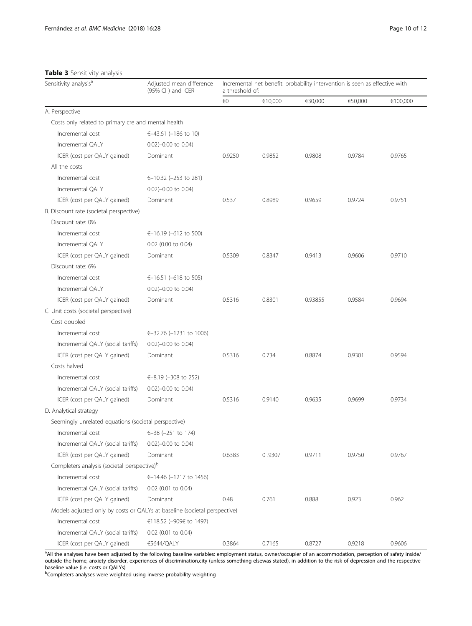# <span id="page-9-0"></span>Table 3 Sensitivity analysis

| Sensitivity analysis <sup>a</sup>                                         | Adjusted mean difference<br>(95% CI) and ICER | Incremental net benefit: probability intervention is seen as effective with<br>a threshold of: |         |         |         |          |
|---------------------------------------------------------------------------|-----------------------------------------------|------------------------------------------------------------------------------------------------|---------|---------|---------|----------|
|                                                                           |                                               | €0                                                                                             | €10,000 | €30,000 | €50,000 | €100,000 |
| A. Perspective                                                            |                                               |                                                                                                |         |         |         |          |
| Costs only related to primary cre and mental health                       |                                               |                                                                                                |         |         |         |          |
| Incremental cost                                                          | € -43.61 ( $-186$ to 10)                      |                                                                                                |         |         |         |          |
| Incremental QALY                                                          | $0.02(-0.00)$ to 0.04)                        |                                                                                                |         |         |         |          |
| ICER (cost per QALY gained)                                               | Dominant                                      | 0.9250                                                                                         | 0.9852  | 0.9808  | 0.9784  | 0.9765   |
| All the costs                                                             |                                               |                                                                                                |         |         |         |          |
| Incremental cost                                                          | €-10.32 (-253 to 281)                         |                                                                                                |         |         |         |          |
| Incremental OALY                                                          | $0.02(-0.00)$ to 0.04)                        |                                                                                                |         |         |         |          |
| ICER (cost per QALY gained)                                               | Dominant                                      | 0.537                                                                                          | 0.8989  | 0.9659  | 0.9724  | 0.9751   |
| B. Discount rate (societal perspective)                                   |                                               |                                                                                                |         |         |         |          |
| Discount rate: 0%                                                         |                                               |                                                                                                |         |         |         |          |
| Incremental cost                                                          | $€-16.19$ (-612 to 500)                       |                                                                                                |         |         |         |          |
| Incremental QALY                                                          | $0.02$ (0.00 to 0.04)                         |                                                                                                |         |         |         |          |
| ICER (cost per QALY gained)                                               | Dominant                                      | 0.5309                                                                                         | 0.8347  | 0.9413  | 0.9606  | 0.9710   |
| Discount rate: 6%                                                         |                                               |                                                                                                |         |         |         |          |
| Incremental cost                                                          | $€-16.51$ (-618 to 505)                       |                                                                                                |         |         |         |          |
| Incremental QALY                                                          | $0.02(-0.00)$ to $0.04$ )                     |                                                                                                |         |         |         |          |
| ICER (cost per QALY gained)                                               | Dominant                                      | 0.5316                                                                                         | 0.8301  | 0.93855 | 0.9584  | 0.9694   |
| C. Unit costs (societal perspective)                                      |                                               |                                                                                                |         |         |         |          |
| Cost doubled                                                              |                                               |                                                                                                |         |         |         |          |
| Incremental cost                                                          | €-32.76 (-1231 to 1006)                       |                                                                                                |         |         |         |          |
| Incremental QALY (social tariffs)                                         | $0.02(-0.00)$ to 0.04)                        |                                                                                                |         |         |         |          |
| ICER (cost per QALY gained)                                               | Dominant                                      | 0.5316                                                                                         | 0.734   | 0.8874  | 0.9301  | 0.9594   |
| Costs halved                                                              |                                               |                                                                                                |         |         |         |          |
| Incremental cost                                                          | €-8.19 (-308 to 252)                          |                                                                                                |         |         |         |          |
| Incremental QALY (social tariffs)                                         | $0.02(-0.00)$ to $0.04$ )                     |                                                                                                |         |         |         |          |
| ICER (cost per QALY gained)                                               | Dominant                                      | 0.5316                                                                                         | 0.9140  | 0.9635  | 0.9699  | 0.9734   |
| D. Analytical strategy                                                    |                                               |                                                                                                |         |         |         |          |
| Seemingly unrelated equations (societal perspective)                      |                                               |                                                                                                |         |         |         |          |
| Incremental cost                                                          | €–38 (–251 to 174)                            |                                                                                                |         |         |         |          |
| Incremental QALY (social tariffs)                                         | $0.02(-0.00)$ to 0.04)                        |                                                                                                |         |         |         |          |
| ICER (cost per QALY gained)                                               | Dominant                                      | 0.6383                                                                                         | 0.9307  | 0.9711  | 0.9750  | 0.9767   |
| Completers analysis (societal perspective) <sup>b</sup>                   |                                               |                                                                                                |         |         |         |          |
| Incremental cost                                                          | €-14.46 (-1217 to 1456)                       |                                                                                                |         |         |         |          |
| Incremental QALY (social tariffs)                                         | $0.02$ (0.01 to 0.04)                         |                                                                                                |         |         |         |          |
| ICER (cost per QALY gained)                                               | Dominant                                      | 0.48                                                                                           | 0.761   | 0.888   | 0.923   | 0.962    |
| Models adjusted only by costs or QALYs at baseline (societal perspective) |                                               |                                                                                                |         |         |         |          |
| Incremental cost                                                          | €118.52 (-909€ to 1497)                       |                                                                                                |         |         |         |          |
| Incremental QALY (social tariffs)                                         | 0.02 (0.01 to 0.04)                           |                                                                                                |         |         |         |          |
| ICER (cost per QALY gained)                                               | €5644/QALY                                    | 0.3864                                                                                         | 0.7165  | 0.8727  | 0.9218  | 0.9606   |

a<br>All the analyses have been adjusted by the following baseline variables: employment status, owner/occupier of an accommodation, perception of safety inside/ outside the home, anxiety disorder, experiences of discrimination,city (unless something elsewas stated), in addition to the risk of depression and the respective baseline value (i.e. costs or QALYs)

<sup>b</sup>Completers analyses were weighted using inverse probability weighting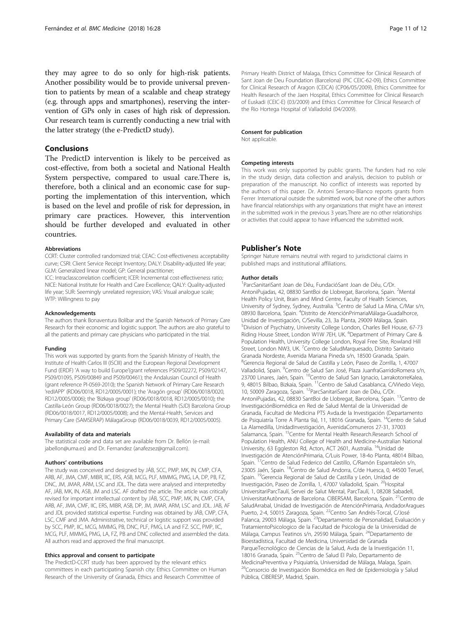they may agree to do so only for high-risk patients. Another possibility would be to provide universal prevention to patients by mean of a scalable and cheap strategy (e.g. through apps and smartphones), reserving the intervention of GPs only in cases of high risk of depression. Our research team is currently conducting a new trial with the latter strategy (the e-PredictD study).

### **Conclusions**

The PredictD intervention is likely to be perceived as cost-effective, from both a societal and National Health System perspective, compared to usual care.There is, therefore, both a clinical and an economic case for supporting the implementation of this intervention, which is based on the level and profile of risk for depression, in primary care practices. However, this intervention should be further developed and evaluated in other countries.

#### Abbreviations

CCRT: Cluster controlled randomized trial; CEAC: Cost-effectiveness acceptability curve; CSRI: Client Service Receipt Inventory; DALY: Disability-adjusted life year; GLM: Generalized linear model; GP: General practitioner;

ICC: Intraclasscorrelation coefficient; ICER: Incremental cost-effectiveness ratio; NICE: National Institute for Health and Care Excellence; QALY: Quality-adjusted life year; SUR: Seemingly unrelated regression; VAS: Visual analogue scale; WTP: Willingness to pay

#### Acknowledgements

The authors thank Bonaventura Bolíbar and the Spanish Network of Primary Care Research for their economic and logistic support. The authors are also grateful to all the patients and primary care physicians who participated in the trial.

#### Funding

This work was supported by grants from the Spanish Ministry of Health, the Institute of Health Carlos III (ISCIII) and the European Regional Development Fund (ERDF) 'A way to build Europe'(grant references PS09/02272, PS09/02147, PS09/01095, PS09/00849 and PS09/00461); the Andalusian Council of Health (grant reference PI-0569-2010); the Spanish Network of Primary Care Research 'redIAPP' (RD06/0018, RD12/0005/0001); the 'Aragón group' (RD06/0018/0020, RD12/0005/0006); the 'Bizkaya group' (RD06/0018/0018, RD12/0005/0010); the Castilla-León Group (RD06/0018/0027); the Mental Health (SJD) Barcelona Group (RD06/0018/0017, RD12/0005/0008); and the Mental-Health, Services and Primary Care (SAMSERAP) MálagaGroup (RD06/0018/0039, RD12/0005/0005).

#### Availability of data and materials

The statistical code and data set are available from Dr. Bellón (e-mail: jabellon@uma.es) and Dr. Fernandez (anafezsez@gmail.com).

#### Authors' contributions

The study was conceived and designed by JÁB, SCC, PMP, MK, IN, CMP, CFA, ARB, AF, JMA, CMF, MIBR, IIC, ERS, ASB, MCG, PLF, MMMG, PMG, LA, DP, PB, FZ, DNC, JM, JMAR, ARM, LSC and JDL. The data were analysed and interpretedby AF, JÁB, MK, IN, ASB, JM and LSC. AF drafted the article. The article was critically revised for important intellectual content by JÁB, SCC, PMP, MK, IN, CMP, CFA, ARB, AF, JMA, CMF, IIC, ERS, MIBR, ASB, DP, JM, JMAR, ARM, LSC and JDL. JAB, AF and JDL provided statistical expertise. Funding was obtained by JÁB, CMP, CFA, LSC, CMF and JMA. Administrative, technical or logistic support was provided by SCC, PMP, IIC, MCG, MMMG, PB, DNC, PLF, PMG, LA and FZ. SCC, PMP, IIC, MCG, PLF, MMMG, PMG, LA, FZ, PB and DNC collected and assembled the data. All authors read and approved the final manuscript.

#### Ethics approval and consent to participate

The PredictD-CCRT study has been approved by the relevant ethics committees in each participating Spanish city: Ethics Committee on Human Research of the University of Granada, Ethics and Research Committee of

Primary Health District of Malaga, Ethics Committee for Clinical Research of Sant Joan de Deu Foundation (Barcelona) (PIC CEIC-62-09), Ethics Committee for Clinical Research of Aragon (CEICA) (CP06/05/2009), Ethics Committee for Health Research of the Jaen Hospital, Ethics Committee for Clinical Research of Euskadi (CEIC-E) (03/2009) and Ethics Committee for Clinical Research of the Rio Hortega Hospital of Valladolid (04/2009).

#### Consent for publication

Not applicable.

#### Competing interests

This work was only supported by public grants. The funders had no role in the study design, data collection and analysis, decision to publish or preparation of the manuscript. No conflict of interests was reported by the authors of this paper. Dr. Antoni Serrano-Blanco reports grants from Ferrer International outside the submitted work, but none of the other authors have financial relationships with any organizations that might have an interest in the submitted work in the previous 3 years.There are no other relationships or activities that could appear to have influenced the submitted work.

#### Publisher's Note

Springer Nature remains neutral with regard to jurisdictional claims in published maps and institutional affiliations.

#### Author details

1 ParcSanitariSant Joan de Déu, FundacióSant Joan de Déu, C/Dr. AntoniPujadas, 42, 08830 SantBoi de Llobregat, Barcelona, Spain. <sup>2</sup>Mental Health Policy Unit, Brain and Mind Centre, Faculty of Health Sciences, University of Sydney, Sydney, Australia. <sup>3</sup>Centro de Salud La Mina, C/Mar s/n 08930 Barcelona, Spain. <sup>4</sup>Distrito de AtenciónPrimariaMálaga-Guadalhorce, Unidad de Investigación, C/Sevilla, 23, 3a Planta, 29009 Málaga, Spain. 5 Division of Psychiatry, University College London, Charles Bell House, 67-73 Riding House Street, London W1W 7EH, UK. <sup>6</sup>Department of Primary Care & Population Health, University College London, Royal Free Site, Rowland Hill Street, London NW3, UK.<sup>7</sup> Centro de SaludMarquesado, Distrito Sanitario Granada Nordeste, Avenida Mariana Pineda s/n, 18500 Granada, Spain. <sup>8</sup>Gerencia Regional de Salud de Castilla y León, Paseo de Zorrilla, 1, 47007 Valladolid, Spain. <sup>9</sup>Centro de Salud San José, Plaza JuanfraGarridoRomera s/n 23700 Linares, Jaén, Spain. <sup>10</sup>Centro de Salud San Ignacio, LarrakotorreKalea, 9, 48015 Bilbao, Bizkaia, Spain. <sup>11</sup>Centro de Salud Casablanca, C/Viñedo Viejo, 10, 50009 Zaragoza, Spain. 12ParcSanitariSant Joan de Déu, C/Dr. AntoniPujadas, 42, 08830 SantBoi de Llobregat, Barcelona, Spain. <sup>13</sup>Centro de InvestigaciónBiomédica en Red de Salud Mental de la Universidad de Granada, Facultad de Medicina PTS Avda.de la Investigación (Departamento de Psiquiatría Torre A Planta 9a), 11, 18016 Granada, Spain. <sup>14</sup>Centro de Salud La Alamedilla, UnidadInvestigación, AvenidaComuneros 27-31, 37003 Salamanca, Spain. <sup>15</sup>Centre for Mental Health Research.Research School of Population Health, ANU College of Health and Medicine-Australian National University, 63 Eggleston Rd, Acton, ACT 2601, Australia. <sup>16</sup>Unidad de Investigación de AtenciónPrimaria, C/Luis Power, 18-4o Planta, 48014 Bilbao, Spain. <sup>17</sup>Centro de Salud Federico del Castillo, C/Ramón Espantaleón s/n, 23005 Jaén, Spain. 18Centro de Salud Andorra, C/de Huesca, 0, 44500 Teruel, Spain. <sup>19</sup>Gerencia Regional de Salud de Castilla y León, Unidad de Investigación, Paseo de Zorrilla, 1, 47007 Valladolid, Spain. <sup>20</sup>Hospital UniversitariParcTaulí, Servei de Salut Mental, ParcTaulí, 1, 08208 Sabadell, UniversitatAutònoma de Barcelona. CIBERSAM, Barcelona, Spain. <sup>21</sup>Centro de SaludArrabal, Unidad de Investigación de AtenciónPrimaria, AndadorAragues Puerto, 2-4, 50015 Zaragoza, Spain. 22Centro San Andrés-Torcal, C/José Palanca, 29003 Málaga, Spain. <sup>23</sup>Departamento de Personalidad, Evaluación y TratamientoPsicologico de la Facultad de Psicologia de la Universidad de Málaga, Campus Teatinos s/n, 29590 Málaga, Spain. <sup>24</sup>Departamento de Bioestadística, Facultad de Medicina, Universidad de Granada ParqueTecnológico de Ciencias de la Salud, Avda de la Investigación 11, 18016 Granada, Spain. <sup>25</sup>Centro de Salud El Palo, Departamento de MedicinaPreventiva y Psiquiatría, Universidad de Málaga, Malaga, Spain. <sup>26</sup>Consorcio de Investigación Biomédica en Red de Epidemiología y Salud Pública, CIBERESP, Madrid, Spain.